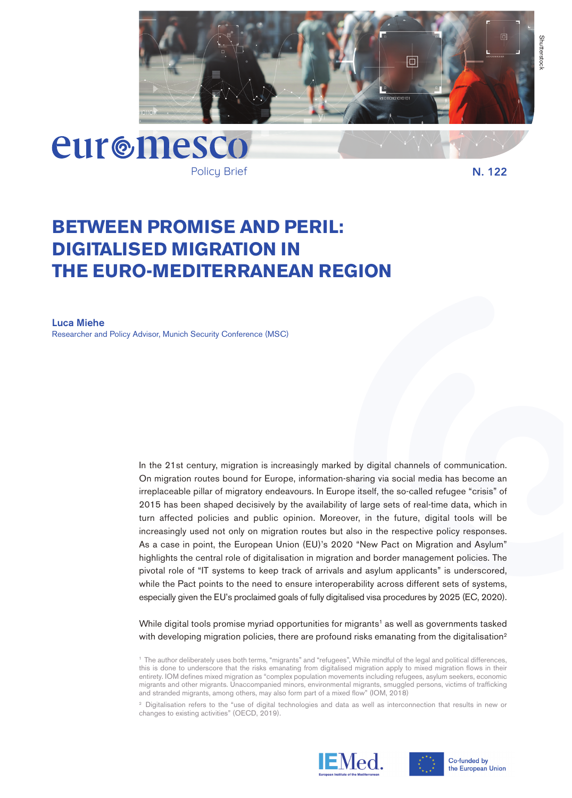



Policy Brief

**N. 122**

# **BETWEEN PROMISE AND PERIL: DIGITALISED MIGRATION IN THE EURO-MEDITERRANEAN REGION**

**Luca Miehe** Researcher and Policy Advisor, Munich Security Conference (MSC)

> In the 21st century, migration is increasingly marked by digital channels of communication. On migration routes bound for Europe, information-sharing via social media has become an irreplaceable pillar of migratory endeavours. In Europe itself, the so-called refugee "crisis" of 2015 has been shaped decisively by the availability of large sets of real-time data, which in turn affected policies and public opinion. Moreover, in the future, digital tools will be increasingly used not only on migration routes but also in the respective policy responses. As a case in point, the European Union (EU)'s 2020 "New Pact on Migration and Asylum" highlights the central role of digitalisation in migration and border management policies. The pivotal role of "IT systems to keep track of arrivals and asylum applicants" is underscored, while the Pact points to the need to ensure interoperability across different sets of systems, especially given the EU's proclaimed goals of fully digitalised visa procedures by 2025 (EC, 2020).

> While digital tools promise myriad opportunities for migrants<sup>1</sup> as well as governments tasked with developing migration policies, there are profound risks emanating from the digitalisation<sup>2</sup>

<sup>2</sup> Digitalisation refers to the "use of digital technologies and data as well as interconnection that results in new or changes to existing activities" (OECD, 2019).





Co-funded by the European Union

<sup>1</sup> The author deliberately uses both terms, "migrants" and "refugees", While mindful of the legal and political differences, this is done to underscore that the risks emanating from digitalised migration apply to mixed migration flows in their entirety. IOM defines mixed migration as "complex population movements including refugees, asylum seekers, economic migrants and other migrants. Unaccompanied minors, environmental migrants, smuggled persons, victims of trafficking and stranded migrants, among others, may also form part of a mixed flow" (IOM, 2018)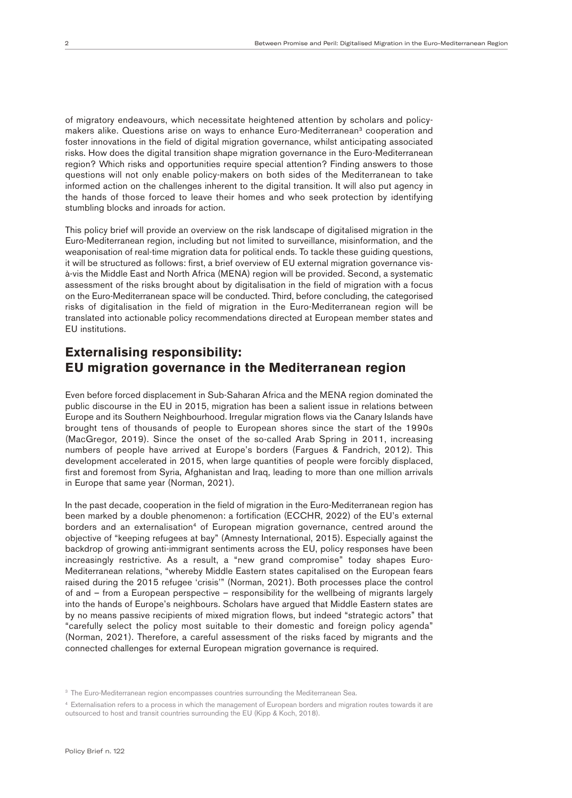of migratory endeavours, which necessitate heightened attention by scholars and policymakers alike. Questions arise on ways to enhance Euro-Mediterranean<sup>3</sup> cooperation and foster innovations in the field of digital migration governance, whilst anticipating associated risks. How does the digital transition shape migration governance in the Euro-Mediterranean region? Which risks and opportunities require special attention? Finding answers to those questions will not only enable policy-makers on both sides of the Mediterranean to take informed action on the challenges inherent to the digital transition. It will also put agency in the hands of those forced to leave their homes and who seek protection by identifying stumbling blocks and inroads for action.

This policy brief will provide an overview on the risk landscape of digitalised migration in the Euro-Mediterranean region, including but not limited to surveillance, misinformation, and the weaponisation of real-time migration data for political ends. To tackle these guiding questions, it will be structured as follows: first, a brief overview of EU external migration governance visà-vis the Middle East and North Africa (MENA) region will be provided. Second, a systematic assessment of the risks brought about by digitalisation in the field of migration with a focus on the Euro-Mediterranean space will be conducted. Third, before concluding, the categorised risks of digitalisation in the field of migration in the Euro-Mediterranean region will be translated into actionable policy recommendations directed at European member states and EU institutions.

## **Externalising responsibility: EU migration governance in the Mediterranean region**

Even before forced displacement in Sub-Saharan Africa and the MENA region dominated the public discourse in the EU in 2015, migration has been a salient issue in relations between Europe and its Southern Neighbourhood. Irregular migration flows via the Canary Islands have brought tens of thousands of people to European shores since the start of the 1990s (MacGregor, 2019). Since the onset of the so-called Arab Spring in 2011, increasing numbers of people have arrived at Europe's borders (Fargues & Fandrich, 2012). This development accelerated in 2015, when large quantities of people were forcibly displaced, first and foremost from Syria, Afghanistan and Iraq, leading to more than one million arrivals in Europe that same year (Norman, 2021).

In the past decade, cooperation in the field of migration in the Euro-Mediterranean region has been marked by a double phenomenon: a fortification (ECCHR, 2022) of the EU's external borders and an externalisation<sup>4</sup> of European migration governance, centred around the objective of "keeping refugees at bay" (Amnesty International, 2015). Especially against the backdrop of growing anti-immigrant sentiments across the EU, policy responses have been increasingly restrictive. As a result, a "new grand compromise" today shapes Euro-Mediterranean relations, "whereby Middle Eastern states capitalised on the European fears raised during the 2015 refugee 'crisis'" (Norman, 2021). Both processes place the control of and – from a European perspective – responsibility for the wellbeing of migrants largely into the hands of Europe's neighbours. Scholars have argued that Middle Eastern states are by no means passive recipients of mixed migration flows, but indeed "strategic actors" that "carefully select the policy most suitable to their domestic and foreign policy agenda" (Norman, 2021). Therefore, a careful assessment of the risks faced by migrants and the connected challenges for external European migration governance is required.

<sup>&</sup>lt;sup>3</sup> The Euro-Mediterranean region encompasses countries surrounding the Mediterranean Sea.

<sup>4</sup> Externalisation refers to a process in which the management of European borders and migration routes towards it are outsourced to host and transit countries surrounding the EU (Kipp & Koch, 2018).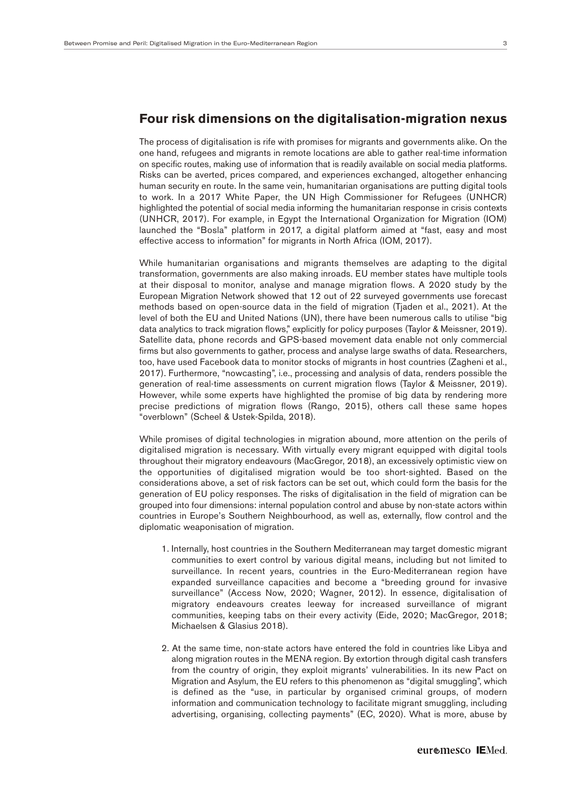#### **Four risk dimensions on the digitalisation-migration nexus**

The process of digitalisation is rife with promises for migrants and governments alike. On the one hand, refugees and migrants in remote locations are able to gather real-time information on specific routes, making use of information that is readily available on social media platforms. Risks can be averted, prices compared, and experiences exchanged, altogether enhancing human security en route. In the same vein, humanitarian organisations are putting digital tools to work. In a 2017 White Paper, the UN High Commissioner for Refugees (UNHCR) highlighted the potential of social media informing the humanitarian response in crisis contexts (UNHCR, 2017). For example, in Egypt the International Organization for Migration (IOM) launched the "Bosla" platform in 2017, a digital platform aimed at "fast, easy and most effective access to information" for migrants in North Africa (IOM, 2017).

While humanitarian organisations and migrants themselves are adapting to the digital transformation, governments are also making inroads. EU member states have multiple tools at their disposal to monitor, analyse and manage migration flows. A 2020 study by the European Migration Network showed that 12 out of 22 surveyed governments use forecast methods based on open-source data in the field of migration (Tjaden et al., 2021). At the level of both the EU and United Nations (UN), there have been numerous calls to utilise "big data analytics to track migration flows," explicitly for policy purposes (Taylor & Meissner, 2019). Satellite data, phone records and GPS-based movement data enable not only commercial firms but also governments to gather, process and analyse large swaths of data. Researchers, too, have used Facebook data to monitor stocks of migrants in host countries (Zagheni et al., 2017). Furthermore, "nowcasting", i.e., processing and analysis of data, renders possible the generation of real-time assessments on current migration flows (Taylor & Meissner, 2019). However, while some experts have highlighted the promise of big data by rendering more precise predictions of migration flows (Rango, 2015), others call these same hopes "overblown" (Scheel & Ustek-Spilda, 2018).

While promises of digital technologies in migration abound, more attention on the perils of digitalised migration is necessary. With virtually every migrant equipped with digital tools throughout their migratory endeavours (MacGregor, 2018), an excessively optimistic view on the opportunities of digitalised migration would be too short-sighted. Based on the considerations above, a set of risk factors can be set out, which could form the basis for the generation of EU policy responses. The risks of digitalisation in the field of migration can be grouped into four dimensions: internal population control and abuse by non-state actors within countries in Europe's Southern Neighbourhood, as well as, externally, flow control and the diplomatic weaponisation of migration.

- 1. Internally, host countries in the Southern Mediterranean may target domestic migrant communities to exert control by various digital means, including but not limited to surveillance. In recent years, countries in the Euro-Mediterranean region have expanded surveillance capacities and become a "breeding ground for invasive surveillance" (Access Now, 2020; Wagner, 2012). In essence, digitalisation of migratory endeavours creates leeway for increased surveillance of migrant communities, keeping tabs on their every activity (Eide, 2020; MacGregor, 2018; Michaelsen & Glasius 2018).
- 2. At the same time, non-state actors have entered the fold in countries like Libya and along migration routes in the MENA region. By extortion through digital cash transfers from the country of origin, they exploit migrants' vulnerabilities. In its new Pact on Migration and Asylum, the EU refers to this phenomenon as "digital smuggling", which is defined as the "use, in particular by organised criminal groups, of modern information and communication technology to facilitate migrant smuggling, including advertising, organising, collecting payments" (EC, 2020). What is more, abuse by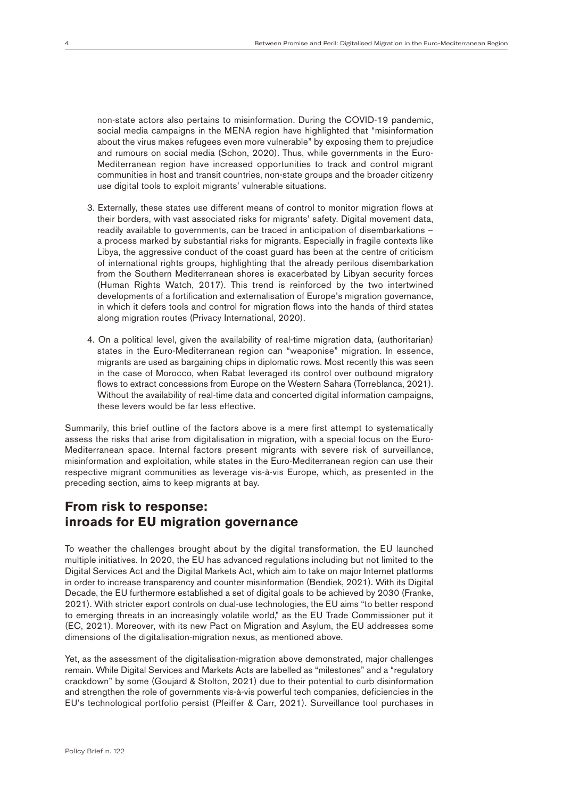non-state actors also pertains to misinformation. During the COVID-19 pandemic, social media campaigns in the MENA region have highlighted that "misinformation about the virus makes refugees even more vulnerable" by exposing them to prejudice and rumours on social media (Schon, 2020). Thus, while governments in the Euro-Mediterranean region have increased opportunities to track and control migrant communities in host and transit countries, non-state groups and the broader citizenry use digital tools to exploit migrants' vulnerable situations.

- 3. Externally, these states use different means of control to monitor migration flows at their borders, with vast associated risks for migrants' safety. Digital movement data, readily available to governments, can be traced in anticipation of disembarkations – a process marked by substantial risks for migrants. Especially in fragile contexts like Libya, the aggressive conduct of the coast guard has been at the centre of criticism of international rights groups, highlighting that the already perilous disembarkation from the Southern Mediterranean shores is exacerbated by Libyan security forces (Human Rights Watch, 2017). This trend is reinforced by the two intertwined developments of a fortification and externalisation of Europe's migration governance, in which it defers tools and control for migration flows into the hands of third states along migration routes (Privacy International, 2020).
- 4. On a political level, given the availability of real-time migration data, (authoritarian) states in the Euro-Mediterranean region can "weaponise" migration. In essence, migrants are used as bargaining chips in diplomatic rows. Most recently this was seen in the case of Morocco, when Rabat leveraged its control over outbound migratory flows to extract concessions from Europe on the Western Sahara (Torreblanca, 2021). Without the availability of real-time data and concerted digital information campaigns, these levers would be far less effective.

Summarily, this brief outline of the factors above is a mere first attempt to systematically assess the risks that arise from digitalisation in migration, with a special focus on the Euro-Mediterranean space. Internal factors present migrants with severe risk of surveillance, misinformation and exploitation, while states in the Euro-Mediterranean region can use their respective migrant communities as leverage vis-à-vis Europe, which, as presented in the preceding section, aims to keep migrants at bay.

## **From risk to response: inroads for EU migration governance**

To weather the challenges brought about by the digital transformation, the EU launched multiple initiatives. In 2020, the EU has advanced regulations including but not limited to the Digital Services Act and the Digital Markets Act, which aim to take on major Internet platforms in order to increase transparency and counter misinformation (Bendiek, 2021). With its Digital Decade, the EU furthermore established a set of digital goals to be achieved by 2030 (Franke, 2021). With stricter export controls on dual-use technologies, the EU aims "to better respond to emerging threats in an increasingly volatile world," as the EU Trade Commissioner put it (EC, 2021). Moreover, with its new Pact on Migration and Asylum, the EU addresses some dimensions of the digitalisation-migration nexus, as mentioned above.

Yet, as the assessment of the digitalisation-migration above demonstrated, major challenges remain. While Digital Services and Markets Acts are labelled as "milestones" and a "regulatory crackdown" by some (Goujard & Stolton, 2021) due to their potential to curb disinformation and strengthen the role of governments vis-à-vis powerful tech companies, deficiencies in the EU's technological portfolio persist (Pfeiffer & Carr, 2021). Surveillance tool purchases in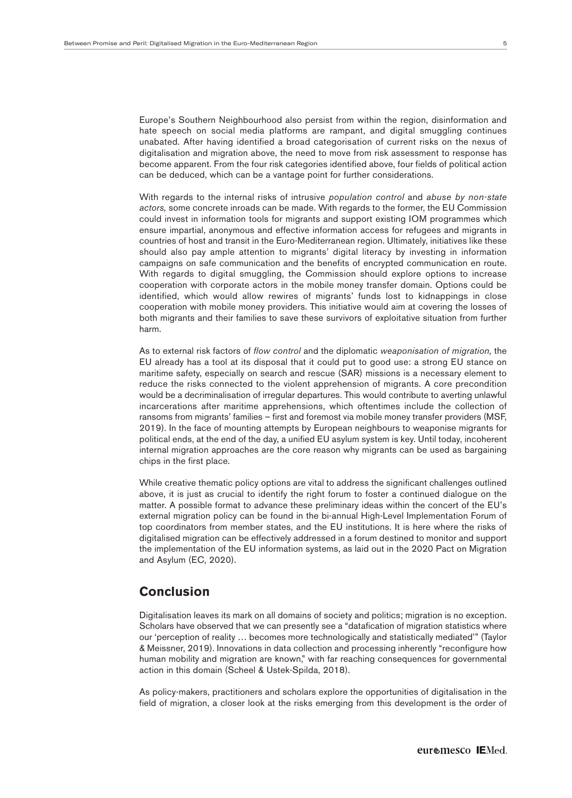Europe's Southern Neighbourhood also persist from within the region, disinformation and hate speech on social media platforms are rampant, and digital smuggling continues unabated. After having identified a broad categorisation of current risks on the nexus of digitalisation and migration above, the need to move from risk assessment to response has become apparent. From the four risk categories identified above, four fields of political action can be deduced, which can be a vantage point for further considerations.

With regards to the internal risks of intrusive *population control* and *abuse by non-state actors,* some concrete inroads can be made. With regards to the former, the EU Commission could invest in information tools for migrants and support existing IOM programmes which ensure impartial, anonymous and effective information access for refugees and migrants in countries of host and transit in the Euro-Mediterranean region. Ultimately, initiatives like these should also pay ample attention to migrants' digital literacy by investing in information campaigns on safe communication and the benefits of encrypted communication en route. With regards to digital smuggling, the Commission should explore options to increase cooperation with corporate actors in the mobile money transfer domain. Options could be identified, which would allow rewires of migrants' funds lost to kidnappings in close cooperation with mobile money providers. This initiative would aim at covering the losses of both migrants and their families to save these survivors of exploitative situation from further harm.

As to external risk factors of *flow control* and the diplomatic *weaponisation of migration,* the EU already has a tool at its disposal that it could put to good use: a strong EU stance on maritime safety, especially on search and rescue (SAR) missions is a necessary element to reduce the risks connected to the violent apprehension of migrants. A core precondition would be a decriminalisation of irregular departures. This would contribute to averting unlawful incarcerations after maritime apprehensions, which oftentimes include the collection of ransoms from migrants' families – first and foremost via mobile money transfer providers (MSF, 2019). In the face of mounting attempts by European neighbours to weaponise migrants for political ends, at the end of the day, a unified EU asylum system is key. Until today, incoherent internal migration approaches are the core reason why migrants can be used as bargaining chips in the first place.

While creative thematic policy options are vital to address the significant challenges outlined above, it is just as crucial to identify the right forum to foster a continued dialogue on the matter. A possible format to advance these preliminary ideas within the concert of the EU's external migration policy can be found in the bi-annual High-Level Implementation Forum of top coordinators from member states, and the EU institutions. It is here where the risks of digitalised migration can be effectively addressed in a forum destined to monitor and support the implementation of the EU information systems, as laid out in the 2020 Pact on Migration and Asylum (EC, 2020).

### **Conclusion**

Digitalisation leaves its mark on all domains of society and politics; migration is no exception. Scholars have observed that we can presently see a "datafication of migration statistics where our 'perception of reality … becomes more technologically and statistically mediated'" (Taylor & Meissner, 2019). Innovations in data collection and processing inherently "reconfigure how human mobility and migration are known," with far reaching consequences for governmental action in this domain (Scheel & Ustek-Spilda, 2018).

As policy-makers, practitioners and scholars explore the opportunities of digitalisation in the field of migration, a closer look at the risks emerging from this development is the order of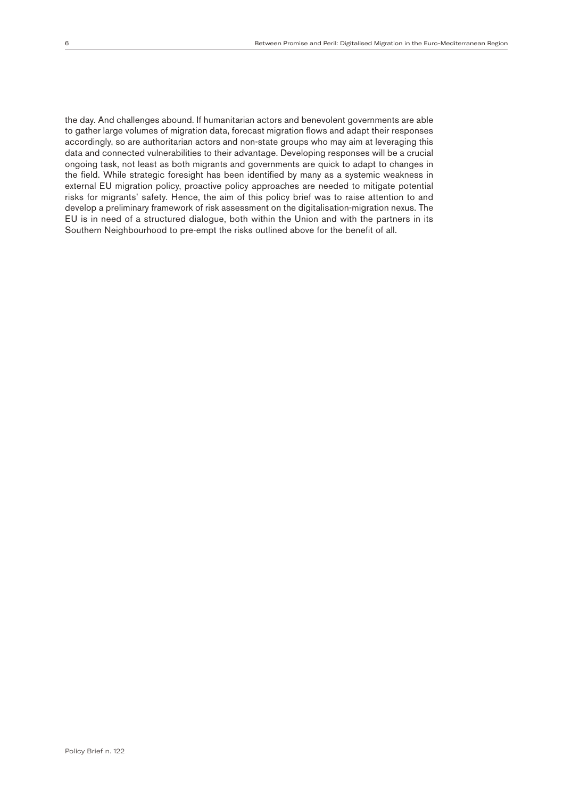the day. And challenges abound. If humanitarian actors and benevolent governments are able to gather large volumes of migration data, forecast migration flows and adapt their responses accordingly, so are authoritarian actors and non-state groups who may aim at leveraging this data and connected vulnerabilities to their advantage. Developing responses will be a crucial ongoing task, not least as both migrants and governments are quick to adapt to changes in the field. While strategic foresight has been identified by many as a systemic weakness in external EU migration policy, proactive policy approaches are needed to mitigate potential risks for migrants' safety. Hence, the aim of this policy brief was to raise attention to and develop a preliminary framework of risk assessment on the digitalisation-migration nexus. The EU is in need of a structured dialogue, both within the Union and with the partners in its Southern Neighbourhood to pre-empt the risks outlined above for the benefit of all.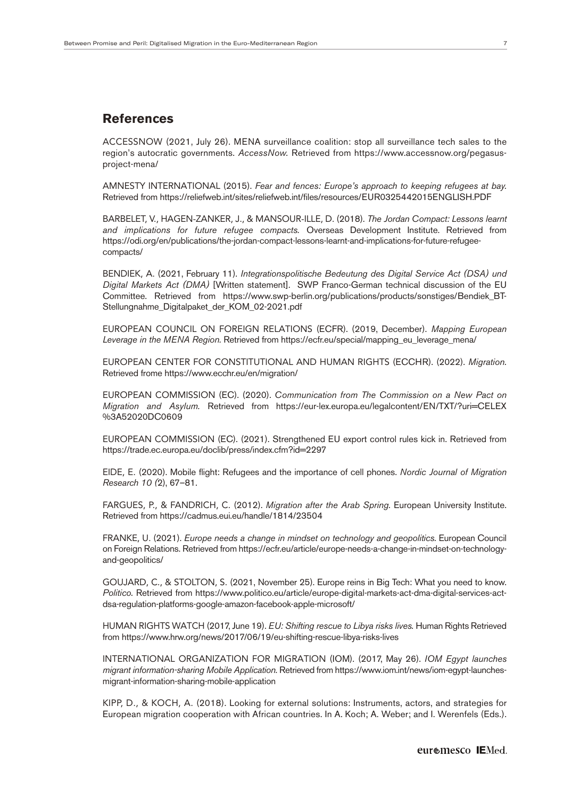#### **References**

ACCESSNOW (2021, July 26). MENA surveillance coalition: stop all surveillance tech sales to the region's autocratic governments. *AccessNow.* Retrieved from https://www.accessnow.org/pegasusproject-mena/

AMNESTY INTERNATIONAL (2015). *Fear and fences: Europe's approach to keeping refugees at bay.* Retrieved from https://reliefweb.int/sites/reliefweb.int/files/resources/EUR0325442015ENGLISH.PDF

BARBELET, V., HAGEN-ZANKER, J., & MANSOUR-ILLE, D. (2018). *The Jordan Compact: Lessons learnt and implications for future refugee compacts.* Overseas Development Institute. Retrieved from https://odi.org/en/publications/the-jordan-compact-lessons-learnt-and-implications-for-future-refugeecompacts/

BENDIEK, A. (2021, February 11). *Integrationspolitische Bedeutung des Digital Service Act (DSA) und Digital Markets Act (DMA)* [Written statement]. SWP Franco-German technical discussion of the EU Committee. Retrieved from https://www.swp-berlin.org/publications/products/sonstiges/Bendiek\_BT-Stellungnahme\_Digitalpaket\_der\_KOM\_02-2021.pdf

EUROPEAN COUNCIL ON FOREIGN RELATIONS (ECFR). (2019, December). *Mapping European Leverage in the MENA Region.* Retrieved from https://ecfr.eu/special/mapping\_eu\_leverage\_mena/

EUROPEAN CENTER FOR CONSTITUTIONAL AND HUMAN RIGHTS (ECCHR). (2022). *Migration.* Retrieved frome https://www.ecchr.eu/en/migration/

EUROPEAN COMMISSION (EC). (2020). *Communication from The Commission on a New Pact on Migration and Asylum.* Retrieved from https://eur-lex.europa.eu/legalcontent/EN/TXT/?uri=CELEX %3A52020DC0609

EUROPEAN COMMISSION (EC). (2021). Strengthened EU export control rules kick in. Retrieved from https://trade.ec.europa.eu/doclib/press/index.cfm?id=2297

EIDE, E. (2020). Mobile flight: Refugees and the importance of cell phones. *Nordic Journal of Migration Research 10 (*2), 67–81.

FARGUES, P., & FANDRICH, C. (2012). *Migration after the Arab Spring.* European University Institute. Retrieved from https://cadmus.eui.eu/handle/1814/23504

FRANKE, U. (2021). *Europe needs a change in mindset on technology and geopolitics.* European Council on Foreign Relations. Retrieved from https://ecfr.eu/article/europe-needs-a-change-in-mindset-on-technologyand-geopolitics/

GOUJARD, C., & STOLTON, S. (2021, November 25). Europe reins in Big Tech: What you need to know. *Politico.* Retrieved from https://www.politico.eu/article/europe-digital-markets-act-dma-digital-services-actdsa-regulation-platforms-google-amazon-facebook-apple-microsoft/

HUMAN RIGHTS WATCH (2017, June 19). *EU: Shifting rescue to Libya risks lives.* Human Rights Retrieved from https://www.hrw.org/news/2017/06/19/eu-shifting-rescue-libya-risks-lives

INTERNATIONAL ORGANIZATION FOR MIGRATION (IOM). (2017, May 26). *IOM Egypt launches migrant information-sharing Mobile Application.* Retrieved from https://www.iom.int/news/iom-egypt-launchesmigrant-information-sharing-mobile-application

KIPP, D., & KOCH, A. (2018). Looking for external solutions: Instruments, actors, and strategies for European migration cooperation with African countries. In A. Koch; A. Weber; and I. Werenfels (Eds.).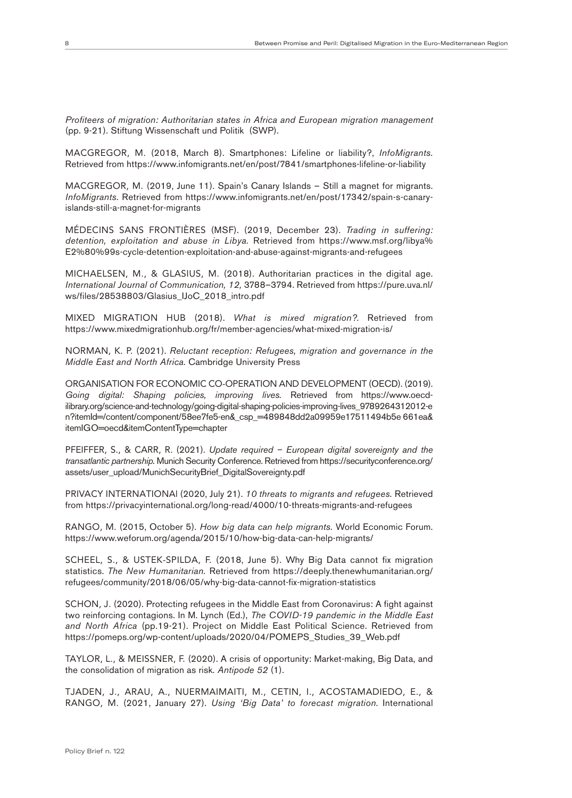*Profiteers of migration: Authoritarian states in Africa and European migration management* (pp. 9-21). Stiftung Wissenschaft und Politik (SWP).

MACGREGOR, M. (2018, March 8). Smartphones: Lifeline or liability?, *InfoMigrants.* Retrieved from https://www.infomigrants.net/en/post/7841/smartphones-lifeline-or-liability

MACGREGOR, M. (2019, June 11). Spain's Canary Islands – Still a magnet for migrants. *InfoMigrants.* Retrieved from https://www.infomigrants.net/en/post/17342/spain-s-canaryislands-still-a-magnet-for-migrants

MÉDECINS SANS FRONTIÈRES (MSF). (2019, December 23). *Trading in suffering: detention, exploitation and abuse in Libya.* Retrieved from https://www.msf.org/libya% E2%80%99s-cycle-detention-exploitation-and-abuse-against-migrants-and-refugees

MICHAELSEN, M., & GLASIUS, M. (2018). Authoritarian practices in the digital age. *International Journal of Communication, 12,* 3788–3794. Retrieved from https://pure.uva.nl/ ws/files/28538803/Glasius\_IJoC\_2018\_intro.pdf

MIXED MIGRATION HUB (2018). *What is mixed migration?.* Retrieved from https://www.mixedmigrationhub.org/fr/member-agencies/what-mixed-migration-is/

NORMAN, K. P. (2021). *Reluctant reception: Refugees, migration and governance in the Middle East and North Africa.* Cambridge University Press

ORGANISATION FOR ECONOMIC CO-OPERATION AND DEVELOPMENT (OECD). (2019). *Going digital: Shaping policies, improving lives.* Retrieved from https://www.oecdilibrary.org/science-and-technology/going-digital-shaping-policies-improving-lives\_9789264312012-e n?itemId=/content/component/58ee7fe5-en&\_csp\_=489848dd2a09959e17511494b5e 661ea& itemIGO=oecd&itemContentType=chapter

PFEIFFER, S., & CARR, R. (2021). *Update required – European digital sovereignty and the transatlantic partnership.* Munich Security Conference. Retrieved from https://securityconference.org/ assets/user\_upload/MunichSecurityBrief\_DigitalSovereignty.pdf

PRIVACY INTERNATIONAl (2020, July 21). *10 threats to migrants and refugees.* Retrieved from https://privacyinternational.org/long-read/4000/10-threats-migrants-and-refugees

RANGO, M. (2015, October 5). *How big data can help migrants.* World Economic Forum. https://www.weforum.org/agenda/2015/10/how-big-data-can-help-migrants/

SCHEEL, S., & USTEK-SPILDA, F. (2018, June 5). Why Big Data cannot fix migration statistics. *The New Humanitarian.* Retrieved from https://deeply.thenewhumanitarian.org/ refugees/community/2018/06/05/why-big-data-cannot-fix-migration-statistics

SCHON, J. (2020). Protecting refugees in the Middle East from Coronavirus: A fight against two reinforcing contagions. In M. Lynch (Ed.), *The COVID-19 pandemic in the Middle East and North Africa* (pp.19-21). Project on Middle East Political Science. Retrieved from https://pomeps.org/wp-content/uploads/2020/04/POMEPS\_Studies\_39\_Web.pdf

TAYLOR, L., & MEISSNER, F. (2020). A crisis of opportunity: Market-making, Big Data, and the consolidation of migration as risk. *Antipode 52* (1).

TJADEN, J., ARAU, A., NUERMAIMAITI, M., CETIN, I., ACOSTAMADIEDO, E., & RANGO, M. (2021, January 27). *Using 'Big Data' to forecast migration.* International